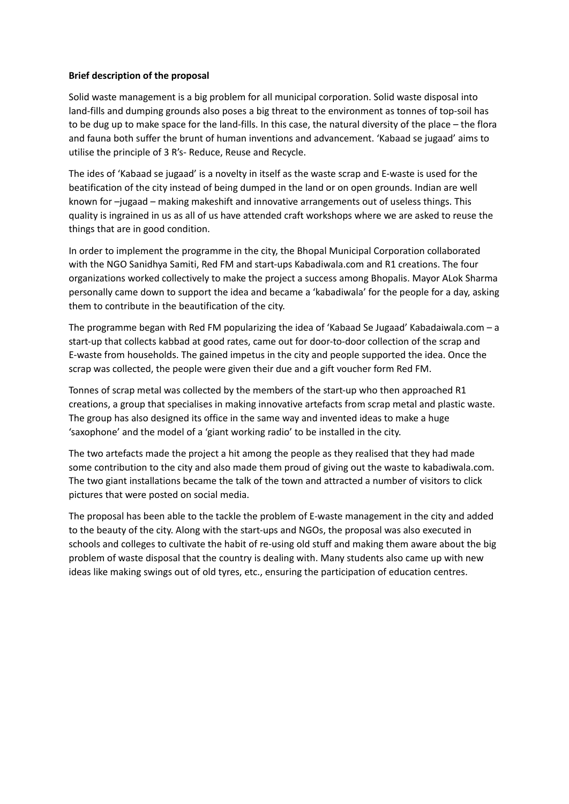## **Brief description of the proposal**

Solid waste management is a big problem for all municipal corporation. Solid waste disposal into land-fills and dumping grounds also poses a big threat to the environment as tonnes of top-soil has to be dug up to make space for the land-fills. In this case, the natural diversity of the place – the flora and fauna both suffer the brunt of human inventions and advancement. 'Kabaad se jugaad' aims to utilise the principle of 3 R's- Reduce, Reuse and Recycle.

The ides of 'Kabaad se jugaad' is a novelty in itself as the waste scrap and E-waste is used for the beatification of the city instead of being dumped in the land or on open grounds. Indian are well known for –jugaad – making makeshift and innovative arrangements out of useless things. This quality is ingrained in us as all of us have attended craft workshops where we are asked to reuse the things that are in good condition.

In order to implement the programme in the city, the Bhopal Municipal Corporation collaborated with the NGO Sanidhya Samiti, Red FM and start-ups Kabadiwala.com and R1 creations. The four organizations worked collectively to make the project a success among Bhopalis. Mayor ALok Sharma personally came down to support the idea and became a 'kabadiwala' for the people for a day, asking them to contribute in the beautification of the city.

The programme began with Red FM popularizing the idea of 'Kabaad Se Jugaad' Kabadaiwala.com – a start-up that collects kabbad at good rates, came out for door-to-door collection of the scrap and E-waste from households. The gained impetus in the city and people supported the idea. Once the scrap was collected, the people were given their due and a gift voucher form Red FM.

Tonnes of scrap metal was collected by the members of the start-up who then approached R1 creations, a group that specialises in making innovative artefacts from scrap metal and plastic waste. The group has also designed its office in the same way and invented ideas to make a huge 'saxophone' and the model of a 'giant working radio' to be installed in the city.

The two artefacts made the project a hit among the people as they realised that they had made some contribution to the city and also made them proud of giving out the waste to kabadiwala.com. The two giant installations became the talk of the town and attracted a number of visitors to click pictures that were posted on social media.

The proposal has been able to the tackle the problem of E-waste management in the city and added to the beauty of the city. Along with the start-ups and NGOs, the proposal was also executed in schools and colleges to cultivate the habit of re-using old stuff and making them aware about the big problem of waste disposal that the country is dealing with. Many students also came up with new ideas like making swings out of old tyres, etc., ensuring the participation of education centres.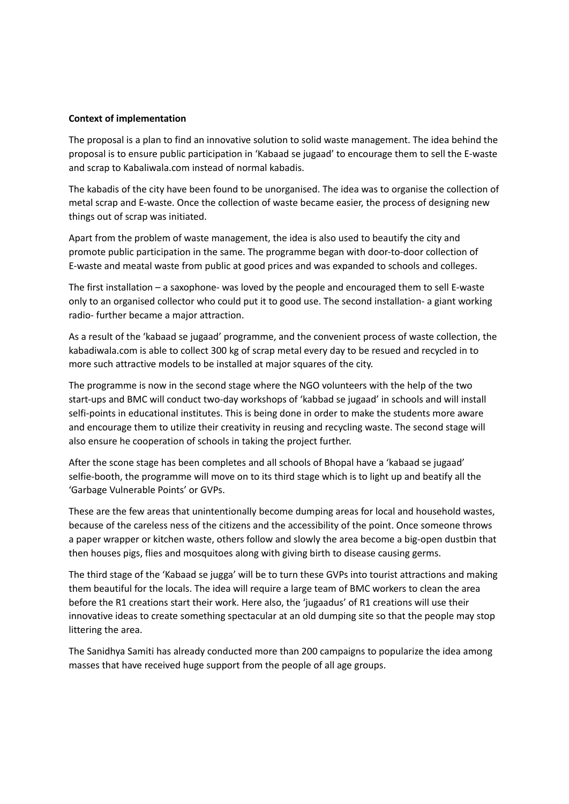### **Context of implementation**

The proposal is a plan to find an innovative solution to solid waste management. The idea behind the proposal is to ensure public participation in 'Kabaad se jugaad' to encourage them to sell the E-waste and scrap to Kabaliwala.com instead of normal kabadis.

The kabadis of the city have been found to be unorganised. The idea was to organise the collection of metal scrap and E-waste. Once the collection of waste became easier, the process of designing new things out of scrap was initiated.

Apart from the problem of waste management, the idea is also used to beautify the city and promote public participation in the same. The programme began with door-to-door collection of E-waste and meatal waste from public at good prices and was expanded to schools and colleges.

The first installation – a saxophone- was loved by the people and encouraged them to sell E-waste only to an organised collector who could put it to good use. The second installation- a giant working radio- further became a major attraction.

As a result of the 'kabaad se jugaad' programme, and the convenient process of waste collection, the kabadiwala.com is able to collect 300 kg of scrap metal every day to be resued and recycled in to more such attractive models to be installed at major squares of the city.

The programme is now in the second stage where the NGO volunteers with the help of the two start-ups and BMC will conduct two-day workshops of 'kabbad se jugaad' in schools and will install selfi-points in educational institutes. This is being done in order to make the students more aware and encourage them to utilize their creativity in reusing and recycling waste. The second stage will also ensure he cooperation of schools in taking the project further.

After the scone stage has been completes and all schools of Bhopal have a 'kabaad se jugaad' selfie-booth, the programme will move on to its third stage which is to light up and beatify all the 'Garbage Vulnerable Points' or GVPs.

These are the few areas that unintentionally become dumping areas for local and household wastes, because of the careless ness of the citizens and the accessibility of the point. Once someone throws a paper wrapper or kitchen waste, others follow and slowly the area become a big-open dustbin that then houses pigs, flies and mosquitoes along with giving birth to disease causing germs.

The third stage of the 'Kabaad se jugga' will be to turn these GVPs into tourist attractions and making them beautiful for the locals. The idea will require a large team of BMC workers to clean the area before the R1 creations start their work. Here also, the 'jugaadus' of R1 creations will use their innovative ideas to create something spectacular at an old dumping site so that the people may stop littering the area.

The Sanidhya Samiti has already conducted more than 200 campaigns to popularize the idea among masses that have received huge support from the people of all age groups.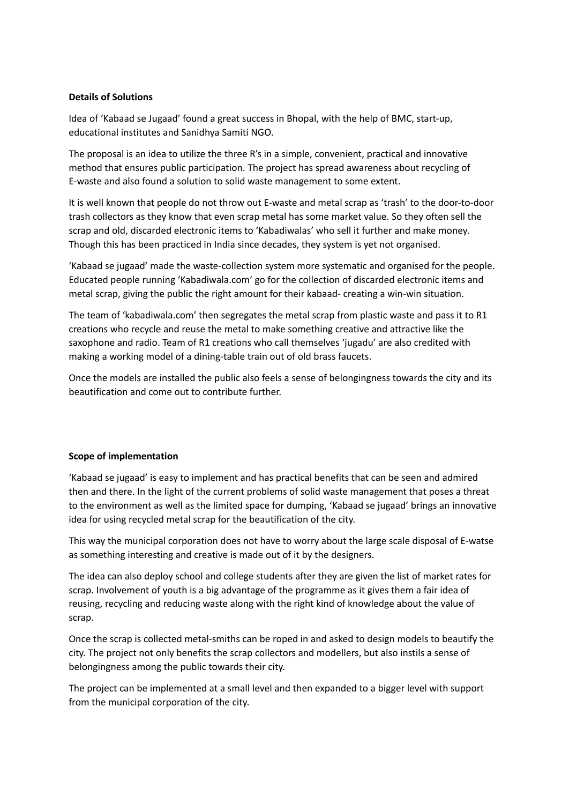# **Details of Solutions**

Idea of 'Kabaad se Jugaad' found a great success in Bhopal, with the help of BMC, start-up, educational institutes and Sanidhya Samiti NGO.

The proposal is an idea to utilize the three R's in a simple, convenient, practical and innovative method that ensures public participation. The project has spread awareness about recycling of E-waste and also found a solution to solid waste management to some extent.

It is well known that people do not throw out E-waste and metal scrap as 'trash' to the door-to-door trash collectors as they know that even scrap metal has some market value. So they often sell the scrap and old, discarded electronic items to 'Kabadiwalas' who sell it further and make money. Though this has been practiced in India since decades, they system is yet not organised.

'Kabaad se jugaad' made the waste-collection system more systematic and organised for the people. Educated people running 'Kabadiwala.com' go for the collection of discarded electronic items and metal scrap, giving the public the right amount for their kabaad- creating a win-win situation.

The team of 'kabadiwala.com' then segregates the metal scrap from plastic waste and pass it to R1 creations who recycle and reuse the metal to make something creative and attractive like the saxophone and radio. Team of R1 creations who call themselves 'jugadu' are also credited with making a working model of a dining-table train out of old brass faucets.

Once the models are installed the public also feels a sense of belongingness towards the city and its beautification and come out to contribute further.

## **Scope of implementation**

'Kabaad se jugaad' is easy to implement and has practical benefits that can be seen and admired then and there. In the light of the current problems of solid waste management that poses a threat to the environment as well as the limited space for dumping, 'Kabaad se jugaad' brings an innovative idea for using recycled metal scrap for the beautification of the city.

This way the municipal corporation does not have to worry about the large scale disposal of E-watse as something interesting and creative is made out of it by the designers.

The idea can also deploy school and college students after they are given the list of market rates for scrap. Involvement of youth is a big advantage of the programme as it gives them a fair idea of reusing, recycling and reducing waste along with the right kind of knowledge about the value of scrap.

Once the scrap is collected metal-smiths can be roped in and asked to design models to beautify the city. The project not only benefits the scrap collectors and modellers, but also instils a sense of belongingness among the public towards their city.

The project can be implemented at a small level and then expanded to a bigger level with support from the municipal corporation of the city.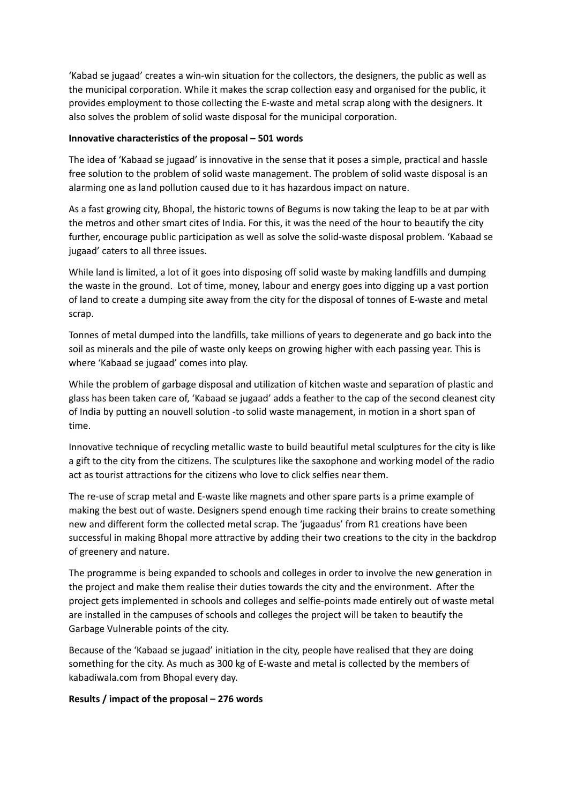'Kabad se jugaad' creates a win-win situation for the collectors, the designers, the public as well as the municipal corporation. While it makes the scrap collection easy and organised for the public, it provides employment to those collecting the E-waste and metal scrap along with the designers. It also solves the problem of solid waste disposal for the municipal corporation.

## **Innovative characteristics of the proposal – 501 words**

The idea of 'Kabaad se jugaad' is innovative in the sense that it poses a simple, practical and hassle free solution to the problem of solid waste management. The problem of solid waste disposal is an alarming one as land pollution caused due to it has hazardous impact on nature.

As a fast growing city, Bhopal, the historic towns of Begums is now taking the leap to be at par with the metros and other smart cites of India. For this, it was the need of the hour to beautify the city further, encourage public participation as well as solve the solid-waste disposal problem. 'Kabaad se jugaad' caters to all three issues.

While land is limited, a lot of it goes into disposing off solid waste by making landfills and dumping the waste in the ground. Lot of time, money, labour and energy goes into digging up a vast portion of land to create a dumping site away from the city for the disposal of tonnes of E-waste and metal scrap.

Tonnes of metal dumped into the landfills, take millions of years to degenerate and go back into the soil as minerals and the pile of waste only keeps on growing higher with each passing year. This is where 'Kabaad se jugaad' comes into play.

While the problem of garbage disposal and utilization of kitchen waste and separation of plastic and glass has been taken care of, 'Kabaad se jugaad' adds a feather to the cap of the second cleanest city of India by putting an nouvell solution -to solid waste management, in motion in a short span of time.

Innovative technique of recycling metallic waste to build beautiful metal sculptures for the city is like a gift to the city from the citizens. The sculptures like the saxophone and working model of the radio act as tourist attractions for the citizens who love to click selfies near them.

The re-use of scrap metal and E-waste like magnets and other spare parts is a prime example of making the best out of waste. Designers spend enough time racking their brains to create something new and different form the collected metal scrap. The 'jugaadus' from R1 creations have been successful in making Bhopal more attractive by adding their two creations to the city in the backdrop of greenery and nature.

The programme is being expanded to schools and colleges in order to involve the new generation in the project and make them realise their duties towards the city and the environment. After the project gets implemented in schools and colleges and selfie-points made entirely out of waste metal are installed in the campuses of schools and colleges the project will be taken to beautify the Garbage Vulnerable points of the city.

Because of the 'Kabaad se jugaad' initiation in the city, people have realised that they are doing something for the city. As much as 300 kg of E-waste and metal is collected by the members of kabadiwala.com from Bhopal every day.

## **Results / impact of the proposal – 276 words**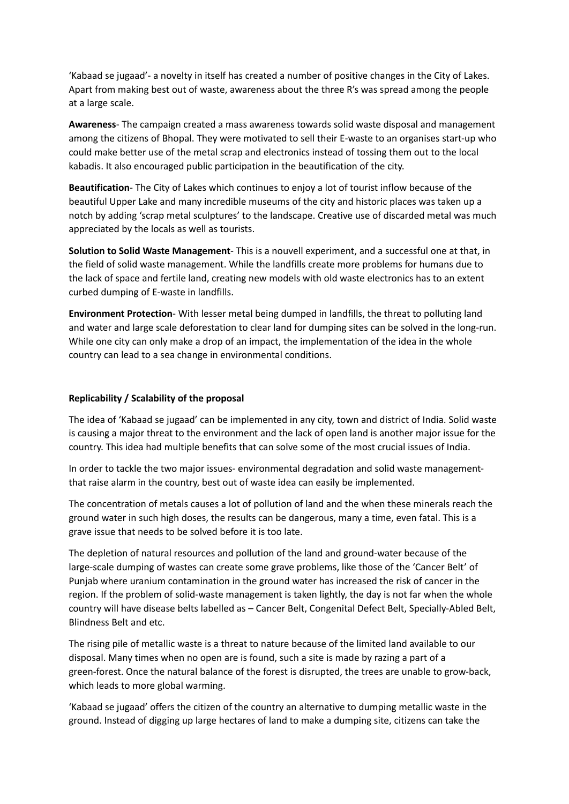'Kabaad se jugaad'- a novelty in itself has created a number of positive changes in the City of Lakes. Apart from making best out of waste, awareness about the three R's was spread among the people at a large scale.

**Awareness**- The campaign created a mass awareness towards solid waste disposal and management among the citizens of Bhopal. They were motivated to sell their E-waste to an organises start-up who could make better use of the metal scrap and electronics instead of tossing them out to the local kabadis. It also encouraged public participation in the beautification of the city.

**Beautification**- The City of Lakes which continues to enjoy a lot of tourist inflow because of the beautiful Upper Lake and many incredible museums of the city and historic places was taken up a notch by adding 'scrap metal sculptures' to the landscape. Creative use of discarded metal was much appreciated by the locals as well as tourists.

**Solution to Solid Waste Management**- This is a nouvell experiment, and a successful one at that, in the field of solid waste management. While the landfills create more problems for humans due to the lack of space and fertile land, creating new models with old waste electronics has to an extent curbed dumping of E-waste in landfills.

**Environment Protection**- With lesser metal being dumped in landfills, the threat to polluting land and water and large scale deforestation to clear land for dumping sites can be solved in the long-run. While one city can only make a drop of an impact, the implementation of the idea in the whole country can lead to a sea change in environmental conditions.

### **Replicability / Scalability of the proposal**

The idea of 'Kabaad se jugaad' can be implemented in any city, town and district of India. Solid waste is causing a major threat to the environment and the lack of open land is another major issue for the country. This idea had multiple benefits that can solve some of the most crucial issues of India.

In order to tackle the two major issues- environmental degradation and solid waste managementthat raise alarm in the country, best out of waste idea can easily be implemented.

The concentration of metals causes a lot of pollution of land and the when these minerals reach the ground water in such high doses, the results can be dangerous, many a time, even fatal. This is a grave issue that needs to be solved before it is too late.

The depletion of natural resources and pollution of the land and ground-water because of the large-scale dumping of wastes can create some grave problems, like those of the 'Cancer Belt' of Punjab where uranium contamination in the ground water has increased the risk of cancer in the region. If the problem of solid-waste management is taken lightly, the day is not far when the whole country will have disease belts labelled as – Cancer Belt, Congenital Defect Belt, Specially-Abled Belt, Blindness Belt and etc.

The rising pile of metallic waste is a threat to nature because of the limited land available to our disposal. Many times when no open are is found, such a site is made by razing a part of a green-forest. Once the natural balance of the forest is disrupted, the trees are unable to grow-back, which leads to more global warming.

'Kabaad se jugaad' offers the citizen of the country an alternative to dumping metallic waste in the ground. Instead of digging up large hectares of land to make a dumping site, citizens can take the